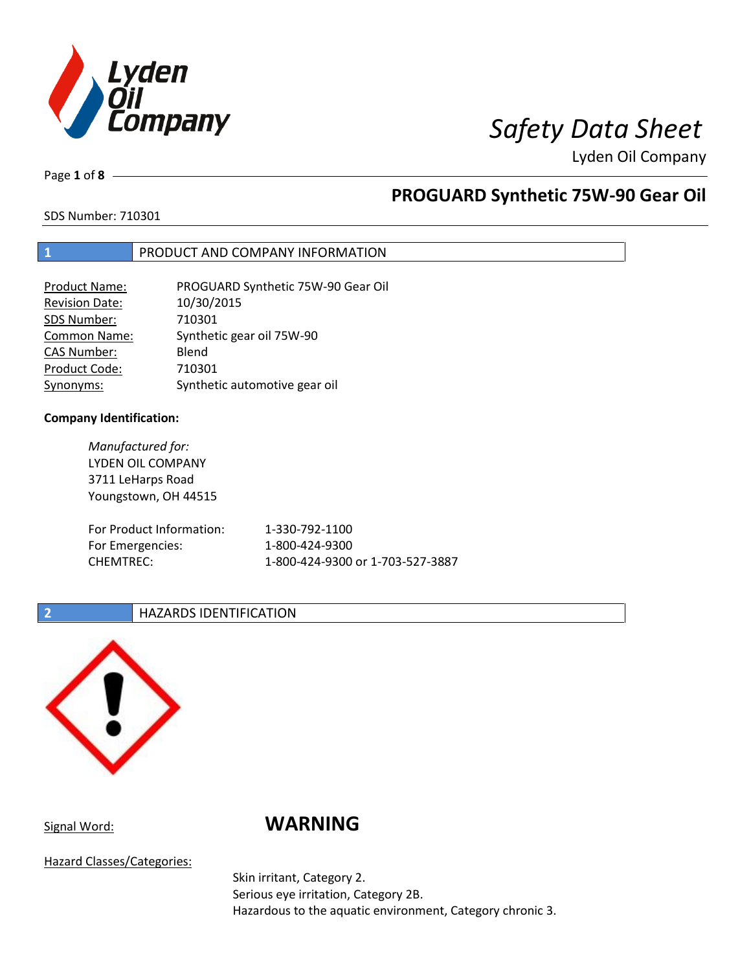

Page **1** of **8**

# **PROGUARD Synthetic 75W-90 Gear Oil**

SDS Number: 710301

### **1** PRODUCT AND COMPANY INFORMATION

| <b>Product Name:</b>  | PROGUARD Synthetic 75W-90 Gear Oil |
|-----------------------|------------------------------------|
| <b>Revision Date:</b> | 10/30/2015                         |
| SDS Number:           | 710301                             |
| <b>Common Name:</b>   | Synthetic gear oil 75W-90          |
| <b>CAS Number:</b>    | Blend                              |
| Product Code:         | 710301                             |
| Synonyms:             | Synthetic automotive gear oil      |

### **Company Identification:**

*Manufactured for:* LYDEN OIL COMPANY 3711 LeHarps Road Youngstown, OH 44515 For Product Information: 1-330-792-1100 For Emergencies: 1-800-424-9300 CHEMTREC: 1-800-424-9300 or 1-703-527-3887

### **2 HAZARDS IDENTIFICATION**



# Signal Word: **WARNING**

Hazard Classes/Categories:

Skin irritant, Category 2. Serious eye irritation, Category 2B. Hazardous to the aquatic environment, Category chronic 3.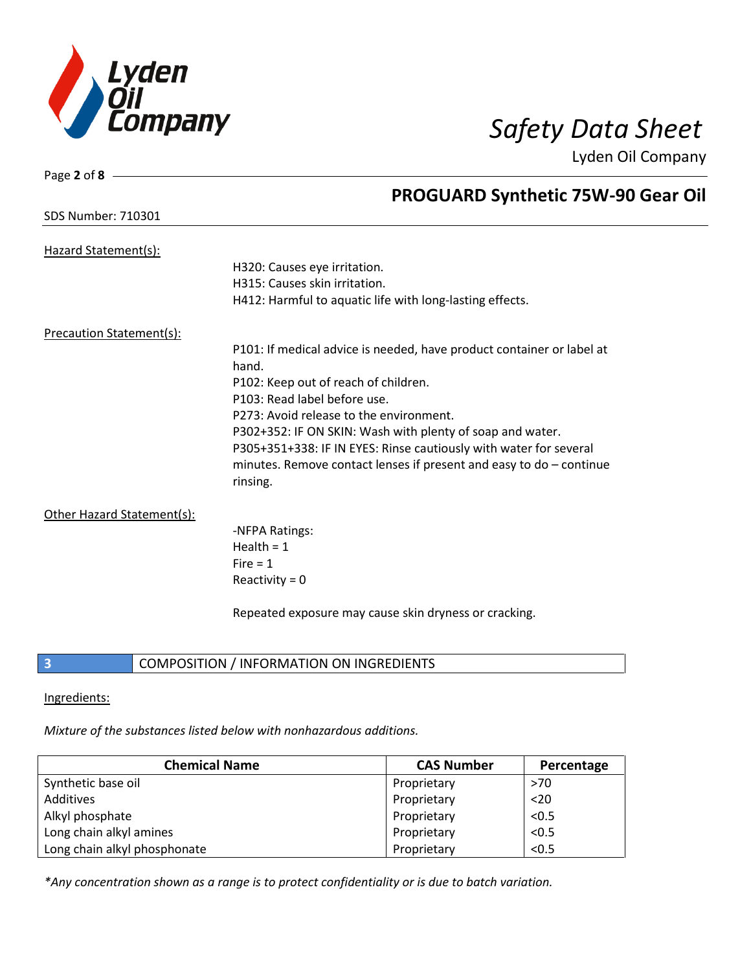

SDS Number: 710301

Page **2** of **8**

## **PROGUARD Synthetic 75W-90 Gear Oil**

| Hazard Statement(s):       |                                                                                |
|----------------------------|--------------------------------------------------------------------------------|
|                            | H320: Causes eye irritation.                                                   |
|                            | H315: Causes skin irritation.                                                  |
|                            | H412: Harmful to aquatic life with long-lasting effects.                       |
| Precaution Statement(s):   |                                                                                |
|                            | P101: If medical advice is needed, have product container or label at<br>hand. |
|                            | P102: Keep out of reach of children.                                           |
|                            | P103: Read label before use.                                                   |
|                            | P273: Avoid release to the environment.                                        |
|                            | P302+352: IF ON SKIN: Wash with plenty of soap and water.                      |
|                            | P305+351+338: IF IN EYES: Rinse cautiously with water for several              |
|                            | minutes. Remove contact lenses if present and easy to $do$ – continue          |
|                            | rinsing.                                                                       |
| Other Hazard Statement(s): |                                                                                |
|                            | -NFPA Ratings:                                                                 |
|                            | Health = $1$                                                                   |
|                            | Fire $= 1$                                                                     |
|                            | Reactivity = $0$                                                               |
|                            |                                                                                |
|                            | Repeated exposure may cause skin dryness or cracking.                          |
|                            |                                                                                |

### **3** COMPOSITION / INFORMATION ON INGREDIENTS

### Ingredients:

*Mixture of the substances listed below with nonhazardous additions.*

| <b>Chemical Name</b>         | <b>CAS Number</b> | Percentage |
|------------------------------|-------------------|------------|
| Synthetic base oil           | Proprietary       | >70        |
| Additives                    | Proprietary       | $20$       |
| Alkyl phosphate              | Proprietary       | < 0.5      |
| Long chain alkyl amines      | Proprietary       | < 0.5      |
| Long chain alkyl phosphonate | Proprietary       | < 0.5      |

*\*Any concentration shown as a range is to protect confidentiality or is due to batch variation.*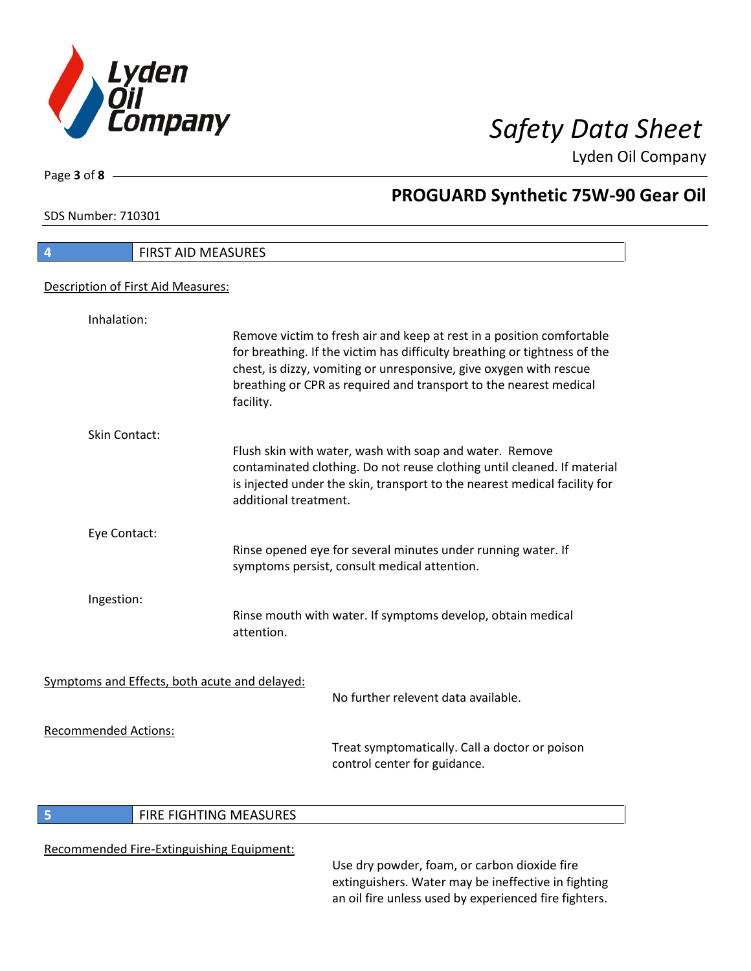

٦

Page **3** of **8**

# **PROGUARD Synthetic 75W-90 Gear Oil**

SDS Number: 710301

| 4                           | <b>FIRST AID MEASURES</b>                                                                                                                                                                                                                                                                                  |
|-----------------------------|------------------------------------------------------------------------------------------------------------------------------------------------------------------------------------------------------------------------------------------------------------------------------------------------------------|
|                             | Description of First Aid Measures:                                                                                                                                                                                                                                                                         |
| Inhalation:                 |                                                                                                                                                                                                                                                                                                            |
|                             | Remove victim to fresh air and keep at rest in a position comfortable<br>for breathing. If the victim has difficulty breathing or tightness of the<br>chest, is dizzy, vomiting or unresponsive, give oxygen with rescue<br>breathing or CPR as required and transport to the nearest medical<br>facility. |
| <b>Skin Contact:</b>        |                                                                                                                                                                                                                                                                                                            |
|                             | Flush skin with water, wash with soap and water. Remove<br>contaminated clothing. Do not reuse clothing until cleaned. If material<br>is injected under the skin, transport to the nearest medical facility for<br>additional treatment.                                                                   |
| Eye Contact:                |                                                                                                                                                                                                                                                                                                            |
|                             | Rinse opened eye for several minutes under running water. If<br>symptoms persist, consult medical attention.                                                                                                                                                                                               |
| Ingestion:                  |                                                                                                                                                                                                                                                                                                            |
|                             | Rinse mouth with water. If symptoms develop, obtain medical<br>attention.                                                                                                                                                                                                                                  |
|                             | Symptoms and Effects, both acute and delayed:                                                                                                                                                                                                                                                              |
|                             | No further relevent data available.                                                                                                                                                                                                                                                                        |
| <b>Recommended Actions:</b> | Treat symptomatically. Call a doctor or poison<br>control center for guidance.                                                                                                                                                                                                                             |

### **5 FIRE FIGHTING MEASURES**

### Recommended Fire-Extinguishing Equipment:

Use dry powder, foam, or carbon dioxide fire extinguishers. Water may be ineffective in fighting an oil fire unless used by experienced fire fighters.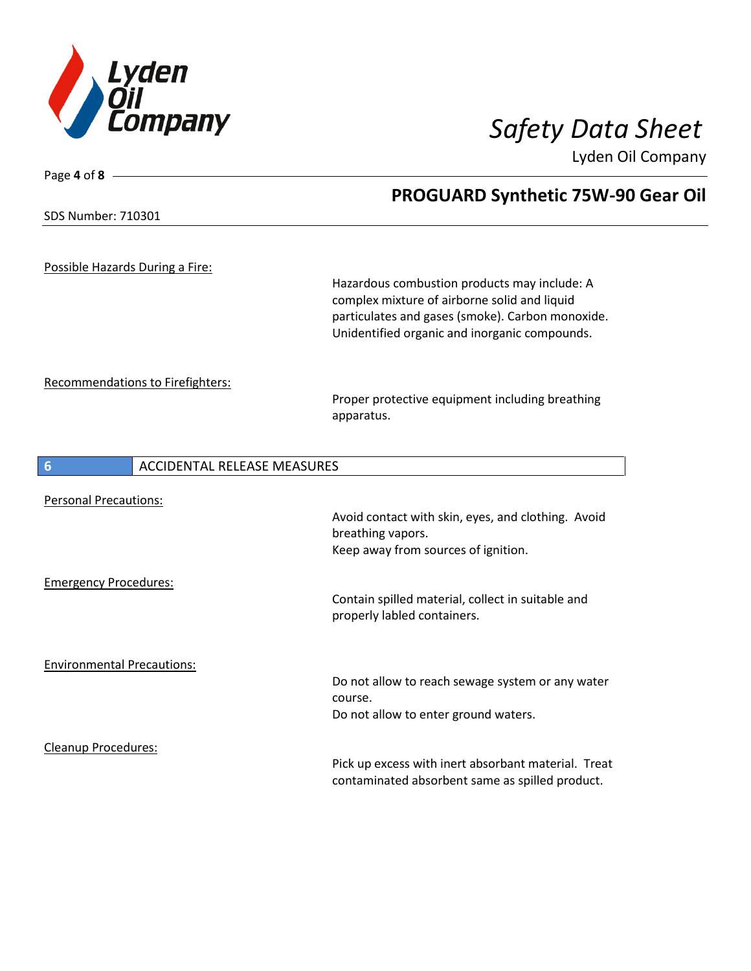

SDS Number: 710301

Page **4** of **8**

# **PROGUARD Synthetic 75W-90 Gear Oil**

Possible Hazards During a Fire:

Hazardous combustion products may include: A complex mixture of airborne solid and liquid particulates and gases (smoke). Carbon monoxide. Unidentified organic and inorganic compounds.

Recommendations to Firefighters:

Proper protective equipment including breathing apparatus.

| $6\phantom{1}6$                   | ACCIDENTAL RELEASE MEASURES |                                                                                                        |
|-----------------------------------|-----------------------------|--------------------------------------------------------------------------------------------------------|
| <b>Personal Precautions:</b>      |                             |                                                                                                        |
|                                   |                             | Avoid contact with skin, eyes, and clothing. Avoid<br>breathing vapors.                                |
|                                   |                             | Keep away from sources of ignition.                                                                    |
| <b>Emergency Procedures:</b>      |                             |                                                                                                        |
|                                   |                             | Contain spilled material, collect in suitable and<br>properly labled containers.                       |
| <b>Environmental Precautions:</b> |                             |                                                                                                        |
|                                   |                             | Do not allow to reach sewage system or any water<br>course.                                            |
|                                   |                             | Do not allow to enter ground waters.                                                                   |
| Cleanup Procedures:               |                             |                                                                                                        |
|                                   |                             | Pick up excess with inert absorbant material. Treat<br>contaminated absorbent same as spilled product. |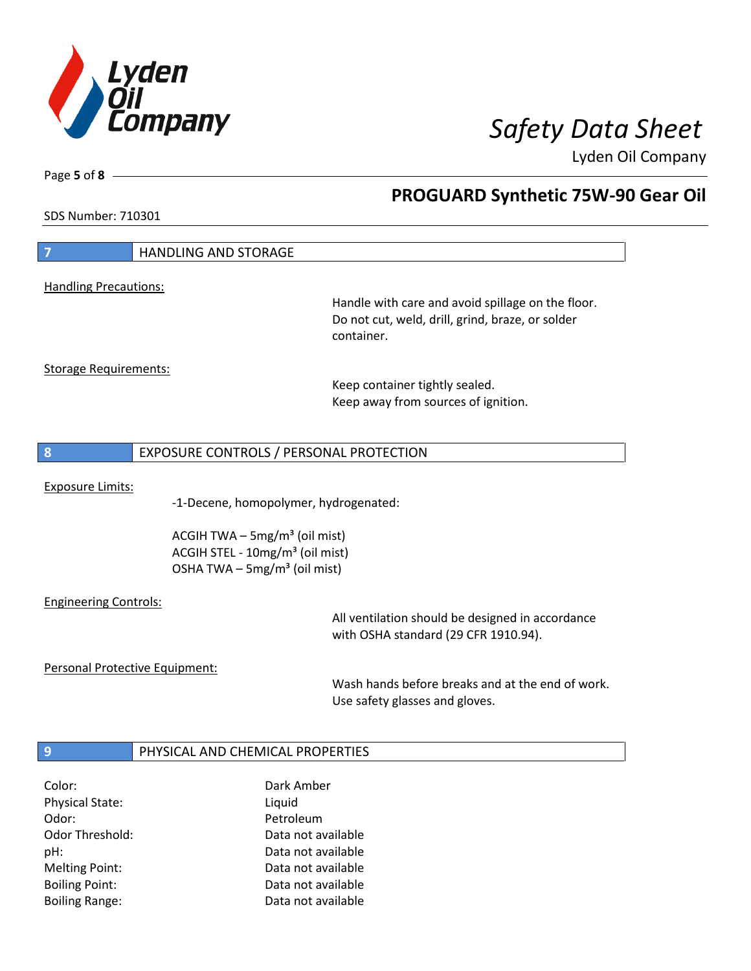

Page **5** of **8**

# **PROGUARD Synthetic 75W-90 Gear Oil**

SDS Number: 710301

| $\overline{7}$                 | <b>HANDLING AND STORAGE</b>                 |                                                   |
|--------------------------------|---------------------------------------------|---------------------------------------------------|
|                                |                                             |                                                   |
| <b>Handling Precautions:</b>   |                                             | Handle with care and avoid spillage on the floor. |
|                                |                                             | Do not cut, weld, drill, grind, braze, or solder  |
|                                |                                             | container.                                        |
|                                |                                             |                                                   |
| <b>Storage Requirements:</b>   |                                             |                                                   |
|                                |                                             | Keep container tightly sealed.                    |
|                                |                                             | Keep away from sources of ignition.               |
|                                |                                             |                                                   |
| 8                              | EXPOSURE CONTROLS / PERSONAL PROTECTION     |                                                   |
|                                |                                             |                                                   |
| <b>Exposure Limits:</b>        |                                             |                                                   |
|                                | -1-Decene, homopolymer, hydrogenated:       |                                                   |
|                                | ACGIH TWA $-$ 5mg/m <sup>3</sup> (oil mist) |                                                   |
|                                | ACGIH STEL - 10mg/m <sup>3</sup> (oil mist) |                                                   |
|                                | OSHA TWA $-$ 5mg/m <sup>3</sup> (oil mist)  |                                                   |
|                                |                                             |                                                   |
| <b>Engineering Controls:</b>   |                                             |                                                   |
|                                |                                             | All ventilation should be designed in accordance  |
|                                |                                             | with OSHA standard (29 CFR 1910.94).              |
| Personal Protective Equipment: |                                             |                                                   |
|                                |                                             | Wash hands before breaks and at the end of work.  |
|                                |                                             | Use safety glasses and gloves.                    |
|                                |                                             |                                                   |
| $\overline{9}$                 | PHYSICAL AND CHEMICAL PROPERTIES            |                                                   |
|                                |                                             |                                                   |
| Color:                         | Dark Amber                                  |                                                   |
| <b>Physical State:</b>         | Liquid                                      |                                                   |
| Odor:                          | Petroleum                                   |                                                   |
| <b>Odor Threshold:</b>         | Data not available                          |                                                   |
| pH:                            | Data not available                          |                                                   |

Melting Point: Case Controller Melting Point: Boiling Point: Data not available Boiling Range: The Contract Contract Data not available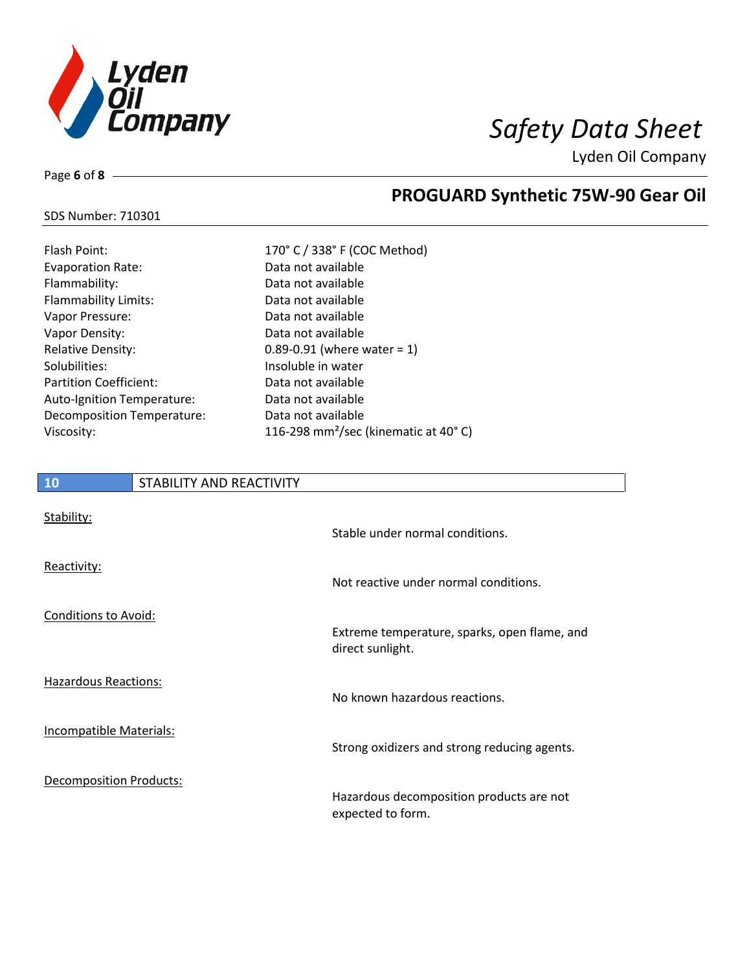

**PROGUARD Synthetic 75W-90 Gear Oil**

Lyden Oil Company

### SDS Number: 710301

Page **6** of **8**

| Flash Point:                      | 170° C / 338° F (COC Method)                     |
|-----------------------------------|--------------------------------------------------|
| <b>Evaporation Rate:</b>          | Data not available                               |
| Flammability:                     | Data not available                               |
| <b>Flammability Limits:</b>       | Data not available                               |
| Vapor Pressure:                   | Data not available                               |
| Vapor Density:                    | Data not available                               |
| <b>Relative Density:</b>          | 0.89-0.91 (where water = $1$ )                   |
| Solubilities:                     | Insoluble in water                               |
| <b>Partition Coefficient:</b>     | Data not available                               |
| <b>Auto-Ignition Temperature:</b> | Data not available                               |
| Decomposition Temperature:        | Data not available                               |
| Viscosity:                        | 116-298 mm <sup>2</sup> /sec (kinematic at 40°C) |
|                                   |                                                  |

| <b>10</b>                      | STABILITY AND REACTIVITY |                                                                  |
|--------------------------------|--------------------------|------------------------------------------------------------------|
| Stability:                     |                          | Stable under normal conditions.                                  |
| Reactivity:                    |                          | Not reactive under normal conditions.                            |
| <b>Conditions to Avoid:</b>    |                          | Extreme temperature, sparks, open flame, and<br>direct sunlight. |
| <b>Hazardous Reactions:</b>    |                          | No known hazardous reactions.                                    |
| <b>Incompatible Materials:</b> |                          | Strong oxidizers and strong reducing agents.                     |
| <b>Decomposition Products:</b> |                          | Hazardous decomposition products are not<br>expected to form.    |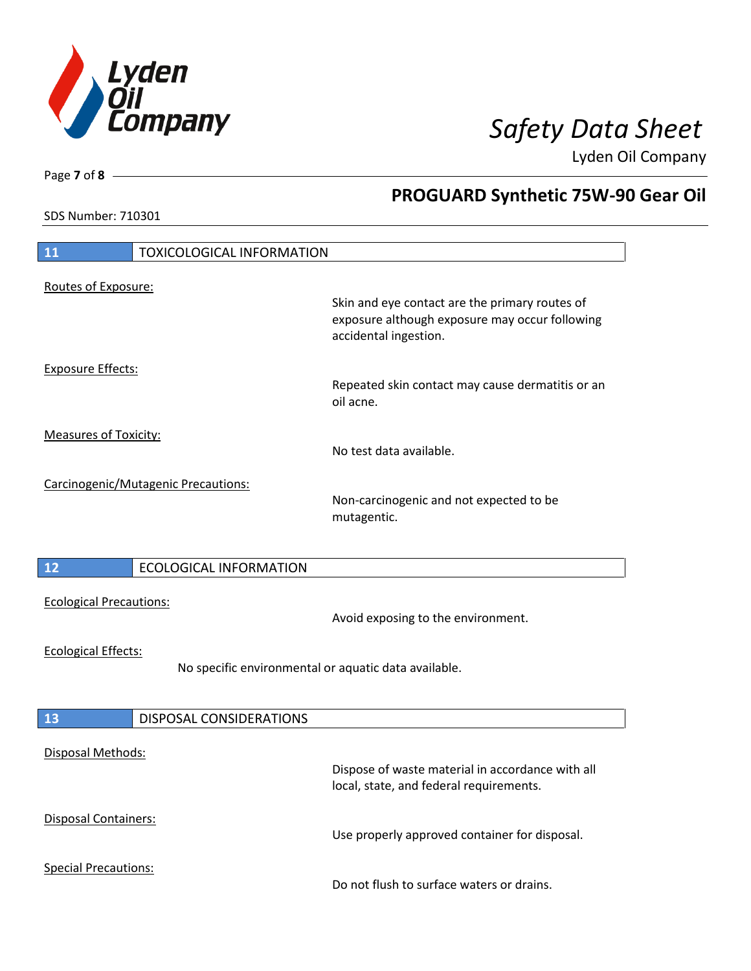

**PROGUARD Synthetic 75W-90 Gear Oil**

Lyden Oil Company

SDS Number: 710301

# **11** TOXICOLOGICAL INFORMATION Routes of Exposure: Skin and eye contact are the primary routes of exposure although exposure may occur following accidental ingestion. Exposure Effects: Repeated skin contact may cause dermatitis or an oil acne. Measures of Toxicity: No test data available. Carcinogenic/Mutagenic Precautions: Non-carcinogenic and not expected to be mutagentic. **12** ECOLOGICAL INFORMATION Ecological Precautions: Avoid exposing to the environment. Ecological Effects: No specific environmental or aquatic data available. **13** DISPOSAL CONSIDERATIONS Disposal Methods: Dispose of waste material in accordance with all local, state, and federal requirements. Disposal Containers: Use properly approved container for disposal. Special Precautions: Do not flush to surface waters or drains.

Page **7** of **8**